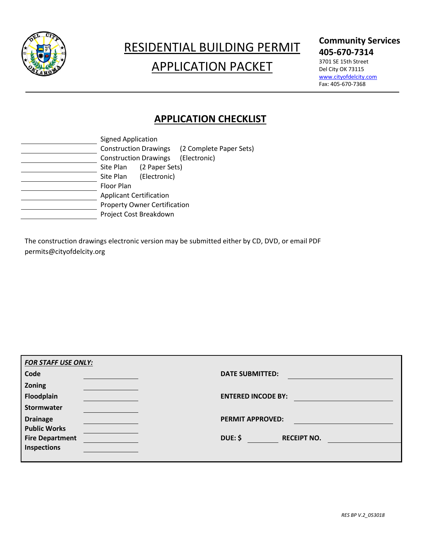

# RESIDENTIAL BUILDING PERMIT APPLICATION PACKET

### **Community Services 405-670-7314**

3701 SE 15th Street Del City OK 73115 [www.cityofdelcity.com](http://www.cityofdelcity.com/) Fax: 405-670-7368

## **APPLICATION CHECKLIST**

|  | <b>Signed Application</b>                                             |                         |  |
|--|-----------------------------------------------------------------------|-------------------------|--|
|  | <b>Construction Drawings</b>                                          | (2 Complete Paper Sets) |  |
|  | <b>Construction Drawings</b>                                          | (Electronic)            |  |
|  | (2 Paper Sets)<br>Site Plan                                           |                         |  |
|  | (Electronic)<br>Site Plan                                             |                         |  |
|  | Floor Plan                                                            |                         |  |
|  | <b>Applicant Certification</b><br><b>Property Owner Certification</b> |                         |  |
|  |                                                                       |                         |  |
|  | Project Cost Breakdown                                                |                         |  |
|  |                                                                       |                         |  |

The construction drawings electronic version may be submitted either by CD, DVD, or email PDF [permits@cityofdelcity.org](mailto:lmccann@cityofdelcity.org)

| <b>FOR STAFF USE ONLY:</b> |                                      |
|----------------------------|--------------------------------------|
| Code                       | <b>DATE SUBMITTED:</b>               |
| Zoning                     |                                      |
| Floodplain                 | <b>ENTERED INCODE BY:</b>            |
| Stormwater                 |                                      |
| <b>Drainage</b>            | <b>PERMIT APPROVED:</b>              |
| <b>Public Works</b>        |                                      |
| <b>Fire Department</b>     | <b>DUE: \$</b><br><b>RECEIPT NO.</b> |
| Inspections                |                                      |
|                            |                                      |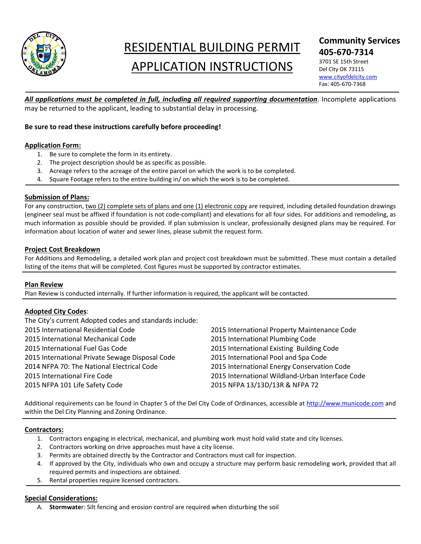

# RESIDENTIAL BUILDING PERMIT APPLICATION INSTRUCTIONS

### **Community Services 405-670-7314**

3701 SE 15th Street Del City OK 73115 [www.cityofdelcity.com](http://www.cityofdelcity.com/) Fax: 405-670-7368

*All applications must be completed in full, including all required supporting documentation*. Incomplete applications may be returned to the applicant, leading to substantial delay in processing.

#### **Be sure to read these instructions carefully before proceeding!**

#### **Application Form:**

- 1. Be sure to complete the form in its entirety.
- 2. The project description should be as specific as possible.
- 3. Acreage refers to the acreage of the entire parcel on which the work is to be completed.
- 4. Square Footage refers to the entire building in/ on which the work is to be completed.

#### **Submission of Plans:**

For any construction, two (2) complete sets of plans and one (1) electronic copy are required, including detailed foundation drawings (engineer seal must be affixed if foundation is not code-compliant) and elevations for all four sides. For additions and remodeling, as much information as possible should be provided. If plan submission is unclear, professionally designed plans may be required. For information about location of water and sewer lines, please submit the request form.

#### **Project Cost Breakdown**

For Additions and Remodeling, a detailed work plan and project cost breakdown must be submitted. These must contain a detailed listing of the items that will be completed. Cost figures must be supported by contractor estimates.

#### **Plan Review**

Plan Review is conducted internally. If further information is required, the applicant will be contacted.

#### **Adopted City Codes**:

| 2015 International Property Maintenance Code     |
|--------------------------------------------------|
| 2015 International Plumbing Code                 |
| 2015 International Existing Building Code        |
| 2015 International Pool and Spa Code             |
| 2015 International Energy Conservation Code      |
| 2015 International Wildland-Urban Interface Code |
| 2015 NFPA 13/13D/13R & NFPA 72                   |
|                                                  |

Additional requirements can be found in Chapter 5 of the Del City Code of Ordinances, accessible at [http://www.municode.com](http://www.municode.com/) and within the Del City Planning and Zoning Ordinance.

#### **Contractors:**

- 1. Contractors engaging in electrical, mechanical, and plumbing work must hold valid state and city licenses.
- 2. Contractors working on drive approaches must have a city license.
- 3. Permits are obtained directly by the Contractor and Contractors must call for inspection.
- 4. If approved by the City, individuals who own and occupy a structure may perform basic remodeling work, provided that all required permits and inspections are obtained.
- 5. Rental properties require licensed contractors.

#### **Special Considerations:**

A. **Stormwate**r: Silt fencing and erosion control are required when disturbing the soil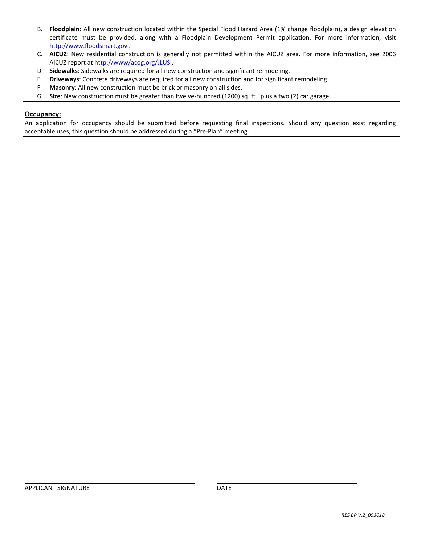- B. **Floodplain**: All new construction located within the Special Flood Hazard Area (1% change floodplain), a design elevation certificate must be provided, along with a Floodplain Development Permit application. For more information, visit [http://www.floodsmart.gov](http://www.floodsmart.gov/) .
- C. **AICUZ**: New residential construction is generally not permitted within the AICUZ area. For more information, see 2006 AICUZ report a[t http://www/acog.org/JLUS](http://www/acog.org/JLUS) .
- D. **Sidewalks**: Sidewalks are required for all new construction and significant remodeling.
- E. **Driveways**: Concrete driveways are required for all new construction and for significant remodeling.
- F. **Masonry**: All new construction must be brick or masonry on all sides.
- G. **Size**: New construction must be greater than twelve-hundred (1200) sq. ft., plus a two (2) car garage.

#### **Occupancy:**

An application for occupancy should be submitted before requesting final inspections. Should any question exist regarding acceptable uses, this question should be addressed during a "Pre-Plan" meeting.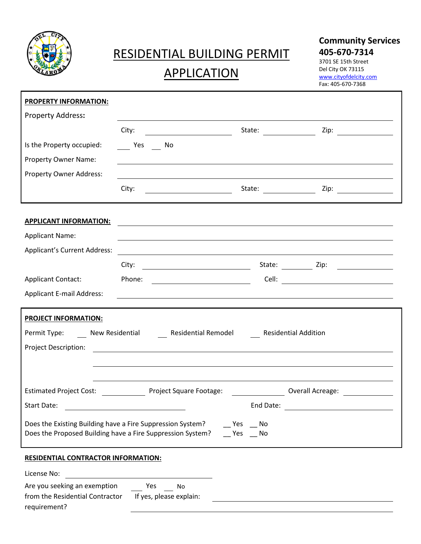

## RESIDENTIAL BUILDING PERMIT

## APPLICATION

### **Community Services 405-670-7314**

3701 SE 15th Street Del City OK 73115 [www.cityofdelcity.com](http://www.cityofdelcity.com/) Fax: 405-670-7368

| <b>PROPERTY INFORMATION:</b>                                                                                                                               |                                                                                                                       |           |                                                                                                                                                                                                                               |  |
|------------------------------------------------------------------------------------------------------------------------------------------------------------|-----------------------------------------------------------------------------------------------------------------------|-----------|-------------------------------------------------------------------------------------------------------------------------------------------------------------------------------------------------------------------------------|--|
| Property Address:                                                                                                                                          |                                                                                                                       |           |                                                                                                                                                                                                                               |  |
|                                                                                                                                                            | City:<br><u> 1980 - Johann Barbara, martin d</u>                                                                      | State:    |                                                                                                                                                                                                                               |  |
| Is the Property occupied:                                                                                                                                  | Yes No                                                                                                                |           |                                                                                                                                                                                                                               |  |
| Property Owner Name:                                                                                                                                       |                                                                                                                       |           |                                                                                                                                                                                                                               |  |
| <b>Property Owner Address:</b>                                                                                                                             |                                                                                                                       |           |                                                                                                                                                                                                                               |  |
|                                                                                                                                                            | City:                                                                                                                 |           |                                                                                                                                                                                                                               |  |
| <b>APPLICANT INFORMATION:</b>                                                                                                                              | <u> 1980 - Jan Samuel Barbara, martin da shekara 1980 - An tsara 1980 - An tsara 1980 - An tsara 1980 - An tsara</u>  |           |                                                                                                                                                                                                                               |  |
| <b>Applicant Name:</b>                                                                                                                                     | the contract of the contract of the contract of the contract of the contract of the contract of the contract of       |           |                                                                                                                                                                                                                               |  |
| <b>Applicant's Current Address:</b>                                                                                                                        | <u> 1989 - Johann Stein, mars ann an t-Amhainn an t-Amhainn an t-Amhainn an t-Amhainn an t-Amhainn an t-Amhainn a</u> |           |                                                                                                                                                                                                                               |  |
|                                                                                                                                                            |                                                                                                                       |           |                                                                                                                                                                                                                               |  |
| <b>Applicant Contact:</b>                                                                                                                                  | Phone:                                                                                                                |           |                                                                                                                                                                                                                               |  |
| <b>Applicant E-mail Address:</b>                                                                                                                           | ,我们也不会有什么。""我们的人,我们也不会有什么?""我们的人,我们也不会有什么?""我们的人,我们也不会有什么?""我们的人,我们也不会有什么?""我们的人                                      |           |                                                                                                                                                                                                                               |  |
| <b>PROJECT INFORMATION:</b>                                                                                                                                |                                                                                                                       |           |                                                                                                                                                                                                                               |  |
|                                                                                                                                                            | Permit Type: New Residential Residential Remodel Residential Addition                                                 |           |                                                                                                                                                                                                                               |  |
| Project Description:                                                                                                                                       |                                                                                                                       |           |                                                                                                                                                                                                                               |  |
|                                                                                                                                                            |                                                                                                                       |           |                                                                                                                                                                                                                               |  |
|                                                                                                                                                            | Estimated Project Cost: Project Square Footage:                                                                       |           | Overall Acreage: Note that the set of the set of the set of the set of the set of the set of the set of the set of the set of the set of the set of the set of the set of the set of the set of the set of the set of the set |  |
| Start Date:                                                                                                                                                |                                                                                                                       | End Date: |                                                                                                                                                                                                                               |  |
| Does the Existing Building have a Fire Suppression System?<br>Yes<br>No.<br>Does the Proposed Building have a Fire Suppression System?<br>Yes<br><b>No</b> |                                                                                                                       |           |                                                                                                                                                                                                                               |  |
| <b>RESIDENTIAL CONTRACTOR INFORMATION:</b>                                                                                                                 |                                                                                                                       |           |                                                                                                                                                                                                                               |  |
| License No:                                                                                                                                                |                                                                                                                       |           |                                                                                                                                                                                                                               |  |
| Are you seeking an exemption<br>from the Residential Contractor If yes, please explain:<br>requirement?                                                    | Yes<br>No                                                                                                             |           |                                                                                                                                                                                                                               |  |